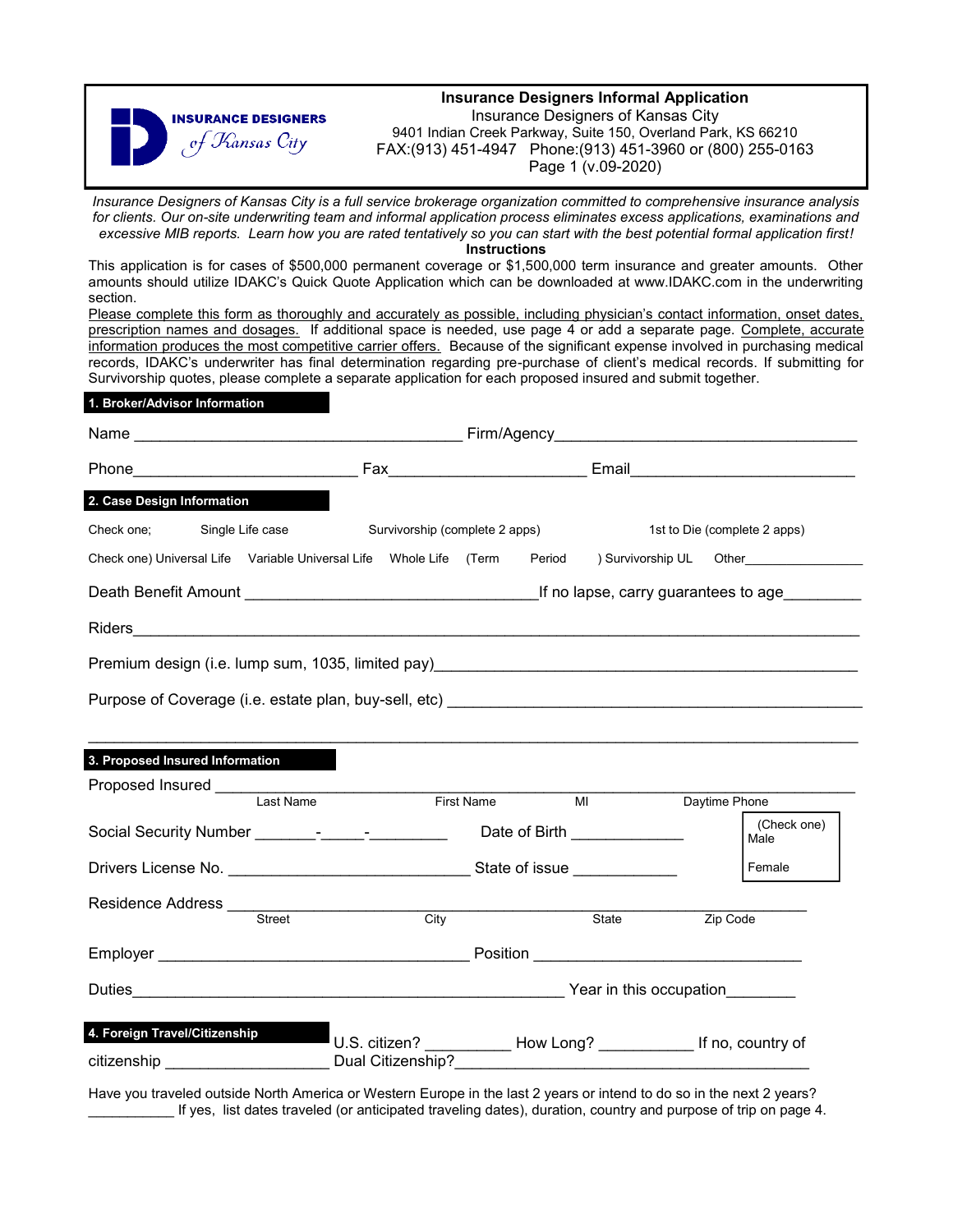

*Insurance Designers of Kansas City is a full service brokerage organization committed to comprehensive insurance analysis for clients. Our on-site underwriting team and informal application process eliminates excess applications, examinations and excessive MIB reports. Learn how you are rated tentatively so you can start with the best potential formal application first!*

**Instructions**

This application is for cases of \$500,000 permanent coverage or \$1,500,000 term insurance and greater amounts. Other amounts should utilize IDAKC's Quick Quote Application which can be downloaded at www.IDAKC.com in the underwriting section.

Please complete this form as thoroughly and accurately as possible, including physician's contact information, onset dates, prescription names and dosages. If additional space is needed, use page 4 or add a separate page. Complete, accurate information produces the most competitive carrier offers. Because of the significant expense involved in purchasing medical records, IDAKC's underwriter has final determination regarding pre-purchase of client's medical records. If submitting for Survivorship quotes, please complete a separate application for each proposed insured and submit together.

|  | 1. Broker/Advisor Information |  |
|--|-------------------------------|--|
|  |                               |  |

| 2. Case Design Information                                                                                         |                                |      |  |  |                                                                       |          |                              |
|--------------------------------------------------------------------------------------------------------------------|--------------------------------|------|--|--|-----------------------------------------------------------------------|----------|------------------------------|
| Check one; Single Life case                                                                                        | Survivorship (complete 2 apps) |      |  |  |                                                                       |          | 1st to Die (complete 2 apps) |
| Check one) Universal Life Variable Universal Life Whole Life (Term Period ) Survivorship UL Other                  |                                |      |  |  |                                                                       |          |                              |
|                                                                                                                    |                                |      |  |  |                                                                       |          |                              |
|                                                                                                                    |                                |      |  |  |                                                                       |          |                              |
|                                                                                                                    |                                |      |  |  |                                                                       |          |                              |
|                                                                                                                    |                                |      |  |  |                                                                       |          |                              |
|                                                                                                                    |                                |      |  |  |                                                                       |          |                              |
| 3. Proposed Insured Information                                                                                    |                                |      |  |  |                                                                       |          |                              |
| Proposed Insured<br>Last Name<br>First Name<br>First Name                                                          |                                |      |  |  | MI Daytime Phone                                                      |          |                              |
| Social Security Number _________________________________Date of Birth ___________                                  |                                |      |  |  |                                                                       |          | (Check one)<br>Male          |
|                                                                                                                    |                                |      |  |  |                                                                       | Female   |                              |
|                                                                                                                    |                                |      |  |  |                                                                       |          |                              |
|                                                                                                                    |                                | City |  |  | State                                                                 | Zip Code |                              |
|                                                                                                                    |                                |      |  |  |                                                                       |          |                              |
|                                                                                                                    |                                |      |  |  |                                                                       |          |                              |
| 4. Foreign Travel/Citizenship<br>citizenship _________________________________Dual Citizenship?___________________ |                                |      |  |  | U.S. citizen? _____________ How Long? _____________ If no, country of |          |                              |

Have you traveled outside North America or Western Europe in the last 2 years or intend to do so in the next 2 years? \_\_\_\_\_\_\_\_\_\_\_ If yes, list dates traveled (or anticipated traveling dates), duration, country and purpose of trip on page 4.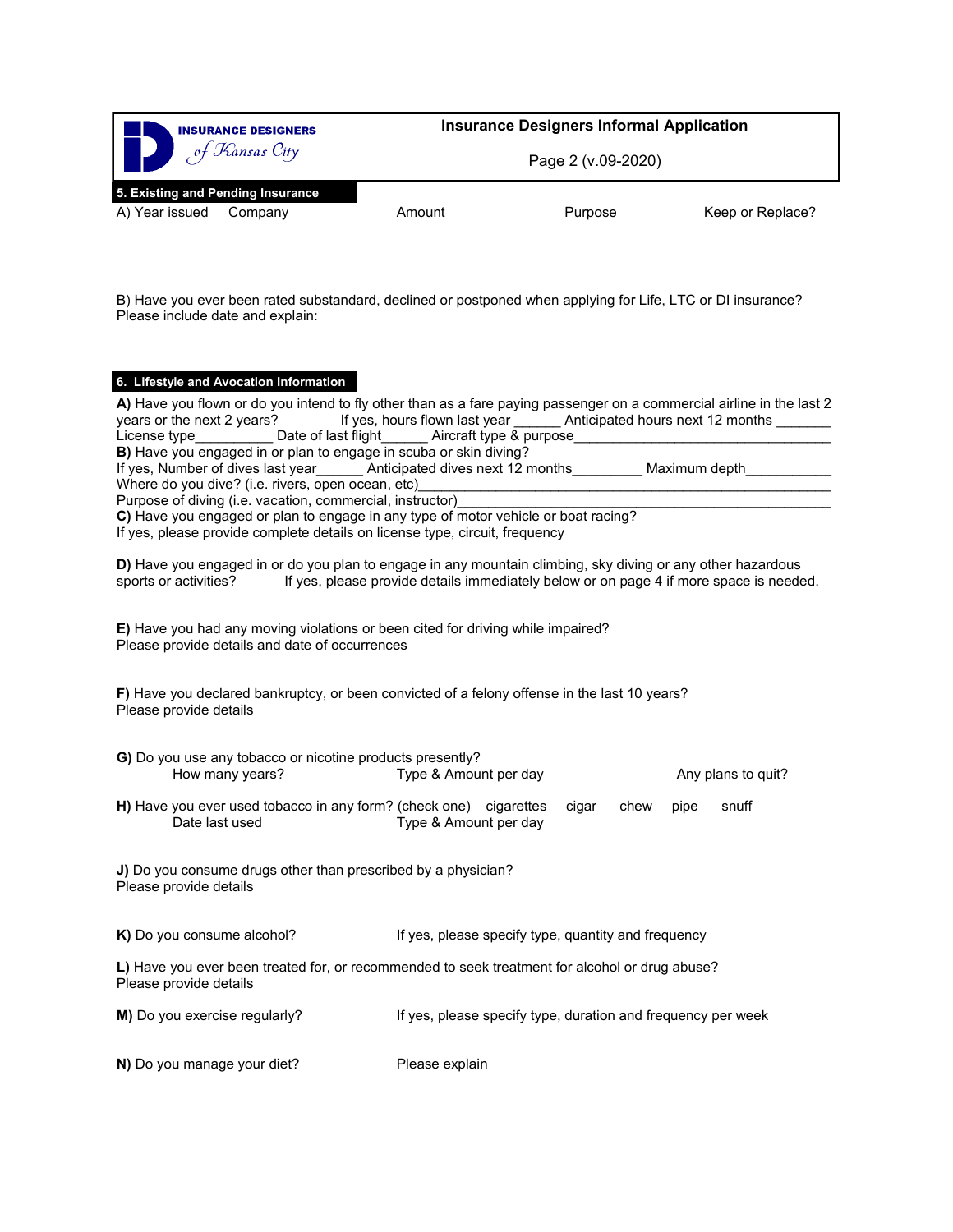

B) Have you ever been rated substandard, declined or postponed when applying for Life, LTC or DI insurance? Please include date and explain:

#### **6. Lifestyle and Avocation Information**

| A) Have you flown or do you intend to fly other than as a fare paying passenger on a commercial airline in the last 2<br>years or the next 2 years?<br>If yes, Number of dives last year_______ Anticipated dives next 12 months_________ Maximum depth__________<br>Purpose of diving (i.e. vacation, commercial, instructor) | If yes, hours flown last year ______ Anticipated hours next 12 months ______ |                    |
|--------------------------------------------------------------------------------------------------------------------------------------------------------------------------------------------------------------------------------------------------------------------------------------------------------------------------------|------------------------------------------------------------------------------|--------------------|
| C) Have you engaged or plan to engage in any type of motor vehicle or boat racing?<br>If yes, please provide complete details on license type, circuit, frequency                                                                                                                                                              |                                                                              |                    |
| D) Have you engaged in or do you plan to engage in any mountain climbing, sky diving or any other hazardous<br>sports or activities? If yes, please provide details immediately below or on page 4 if more space is needed.                                                                                                    |                                                                              |                    |
| E) Have you had any moving violations or been cited for driving while impaired?<br>Please provide details and date of occurrences                                                                                                                                                                                              |                                                                              |                    |
| F) Have you declared bankruptcy, or been convicted of a felony offense in the last 10 years?<br>Please provide details                                                                                                                                                                                                         |                                                                              |                    |
| G) Do you use any tobacco or nicotine products presently?<br>How many years?                                                                                                                                                                                                                                                   | Type & Amount per day                                                        | Any plans to quit? |
| H) Have you ever used tobacco in any form? (check one) cigarettes cigar chew<br>Date last used                                                                                                                                                                                                                                 | Type & Amount per day                                                        | snuff<br>pipe      |
| J) Do you consume drugs other than prescribed by a physician?<br>Please provide details                                                                                                                                                                                                                                        |                                                                              |                    |
| K) Do you consume alcohol?                                                                                                                                                                                                                                                                                                     | If yes, please specify type, quantity and frequency                          |                    |
| L) Have you ever been treated for, or recommended to seek treatment for alcohol or drug abuse?<br>Please provide details                                                                                                                                                                                                       |                                                                              |                    |
| M) Do you exercise regularly?                                                                                                                                                                                                                                                                                                  | If yes, please specify type, duration and frequency per week                 |                    |
| N) Do you manage your diet?                                                                                                                                                                                                                                                                                                    | Please explain                                                               |                    |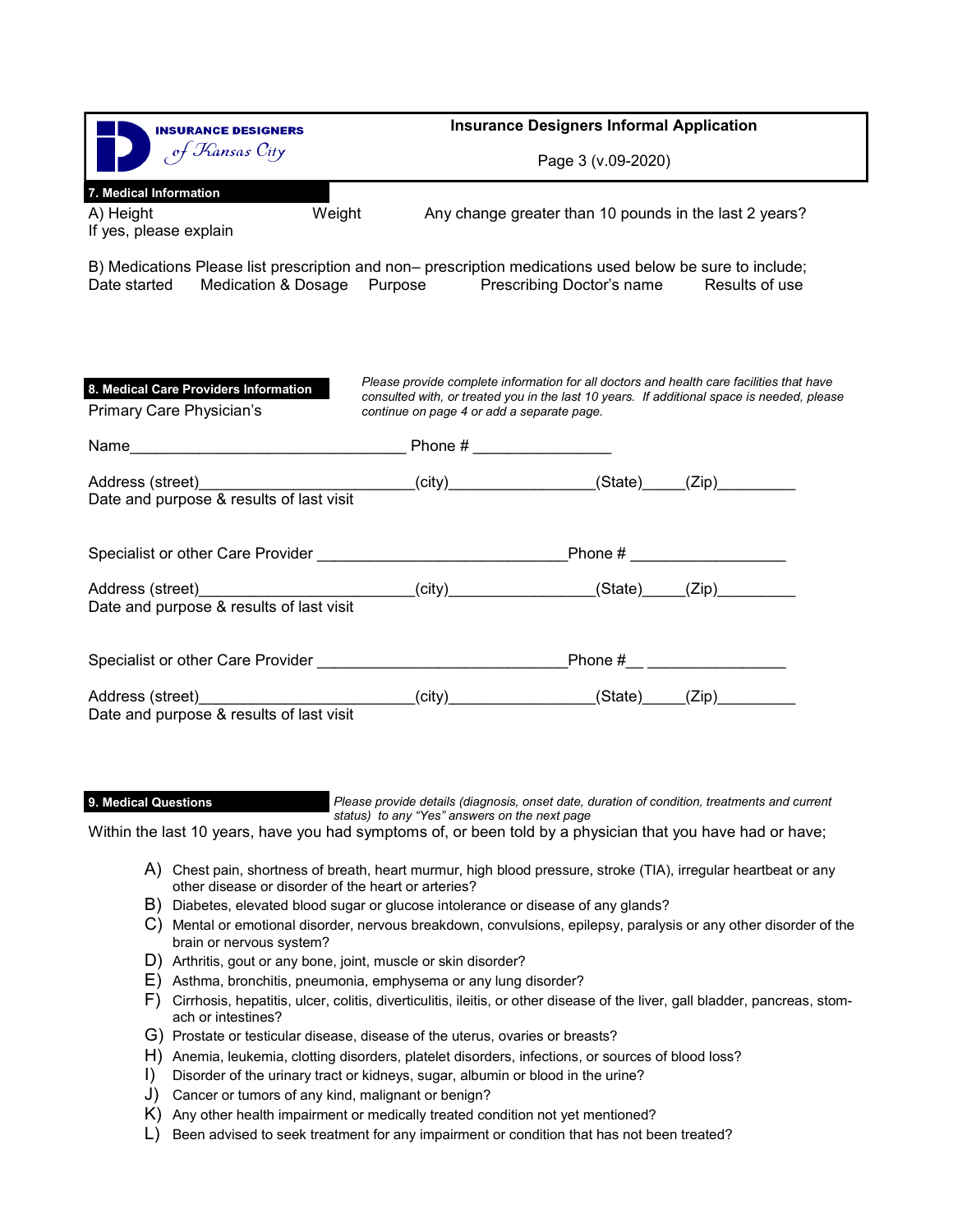| <b>INSURANCE DESIGNERS</b>                                                                                                                                                                    | <b>Insurance Designers Informal Application</b><br>Page 3 (v.09-2020)                                                                  |  |                                                                                            |  |  |
|-----------------------------------------------------------------------------------------------------------------------------------------------------------------------------------------------|----------------------------------------------------------------------------------------------------------------------------------------|--|--------------------------------------------------------------------------------------------|--|--|
| of Kansas City                                                                                                                                                                                |                                                                                                                                        |  |                                                                                            |  |  |
| 7. Medical Information                                                                                                                                                                        |                                                                                                                                        |  |                                                                                            |  |  |
| Weight<br>A) Height<br>If yes, please explain                                                                                                                                                 |                                                                                                                                        |  | Any change greater than 10 pounds in the last 2 years?                                     |  |  |
| B) Medications Please list prescription and non– prescription medications used below be sure to include;<br>Date started Medication & Dosage Purpose Prescribing Doctor's name Results of use |                                                                                                                                        |  |                                                                                            |  |  |
| 8. Medical Care Providers Information<br>Primary Care Physician's                                                                                                                             | Please provide complete information for all doctors and health care facilities that have<br>continue on page 4 or add a separate page. |  | consulted with, or treated you in the last 10 years. If additional space is needed, please |  |  |
|                                                                                                                                                                                               |                                                                                                                                        |  |                                                                                            |  |  |
| Address (street)<br>Date and purpose & results of last visit                                                                                                                                  | _________________(city)_________________(State)_____(Zip)__________                                                                    |  |                                                                                            |  |  |
|                                                                                                                                                                                               |                                                                                                                                        |  |                                                                                            |  |  |
| Address (street)__________________________(city)_______________(State)_____(Zip)__________                                                                                                    |                                                                                                                                        |  |                                                                                            |  |  |
| Date and purpose & results of last visit                                                                                                                                                      |                                                                                                                                        |  |                                                                                            |  |  |
| Specialist or other Care Provider Manual Account of the Specialist or other Care Provider                                                                                                     |                                                                                                                                        |  | Phone #__ _________________                                                                |  |  |
|                                                                                                                                                                                               |                                                                                                                                        |  |                                                                                            |  |  |
|                                                                                                                                                                                               |                                                                                                                                        |  |                                                                                            |  |  |

**9. Medical Questions**

*Please provide details (diagnosis, onset date, duration of condition, treatments and current status) to any "Yes" answers on the next page*

Within the last 10 years, have you had symptoms of, or been told by a physician that you have had or have;

- A) Chest pain, shortness of breath, heart murmur, high blood pressure, stroke (TIA), irregular heartbeat or any other disease or disorder of the heart or arteries?
- B) Diabetes, elevated blood sugar or glucose intolerance or disease of any glands?
- C) Mental or emotional disorder, nervous breakdown, convulsions, epilepsy, paralysis or any other disorder of the brain or nervous system?
- D) Arthritis, gout or any bone, joint, muscle or skin disorder?
- E) Asthma, bronchitis, pneumonia, emphysema or any lung disorder?
- F) Cirrhosis, hepatitis, ulcer, colitis, diverticulitis, ileitis, or other disease of the liver, gall bladder, pancreas, stomach or intestines?
- G) Prostate or testicular disease, disease of the uterus, ovaries or breasts?
- H) Anemia, leukemia, clotting disorders, platelet disorders, infections, or sources of blood loss?
- I) Disorder of the urinary tract or kidneys, sugar, albumin or blood in the urine?
- J) Cancer or tumors of any kind, malignant or benign?
- K) Any other health impairment or medically treated condition not yet mentioned?
- L) Been advised to seek treatment for any impairment or condition that has not been treated?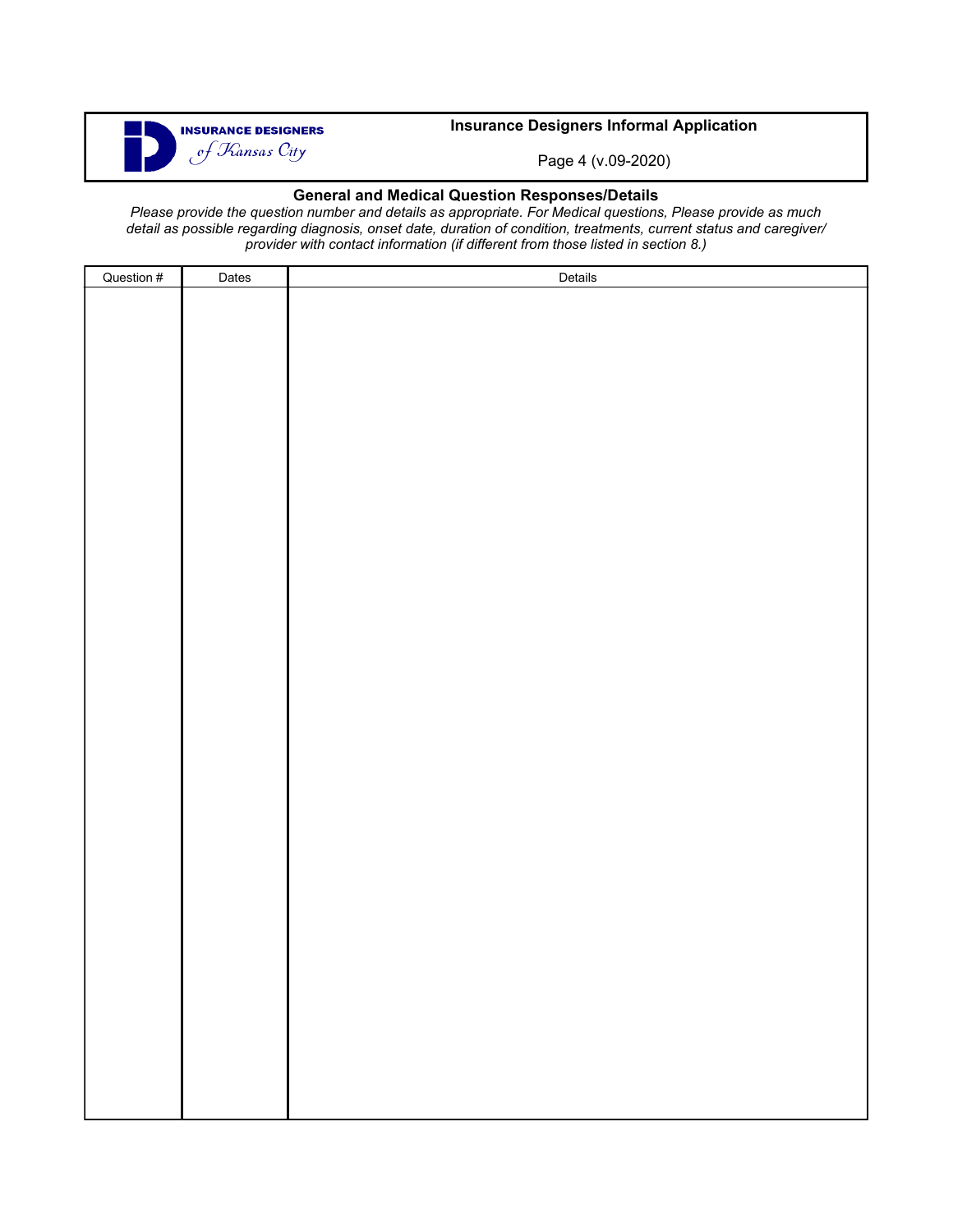

## **Insurance Designers Informal Application**

Page 4 (v.09-2020)

### **General and Medical Question Responses/Details**

*Please provide the question number and details as appropriate. For Medical questions, Please provide as much detail as possible regarding diagnosis, onset date, duration of condition, treatments, current status and caregiver/ provider with contact information (if different from those listed in section 8.)* 

| Question # | Dates | Details |
|------------|-------|---------|
|            |       |         |
|            |       |         |
|            |       |         |
|            |       |         |
|            |       |         |
|            |       |         |
|            |       |         |
|            |       |         |
|            |       |         |
|            |       |         |
|            |       |         |
|            |       |         |
|            |       |         |
|            |       |         |
|            |       |         |
|            |       |         |
|            |       |         |
|            |       |         |
|            |       |         |
|            |       |         |
|            |       |         |
|            |       |         |
|            |       |         |
|            |       |         |
|            |       |         |
|            |       |         |
|            |       |         |
|            |       |         |
|            |       |         |
|            |       |         |
|            |       |         |
|            |       |         |
|            |       |         |
|            |       |         |
|            |       |         |
|            |       |         |
|            |       |         |
|            |       |         |
|            |       |         |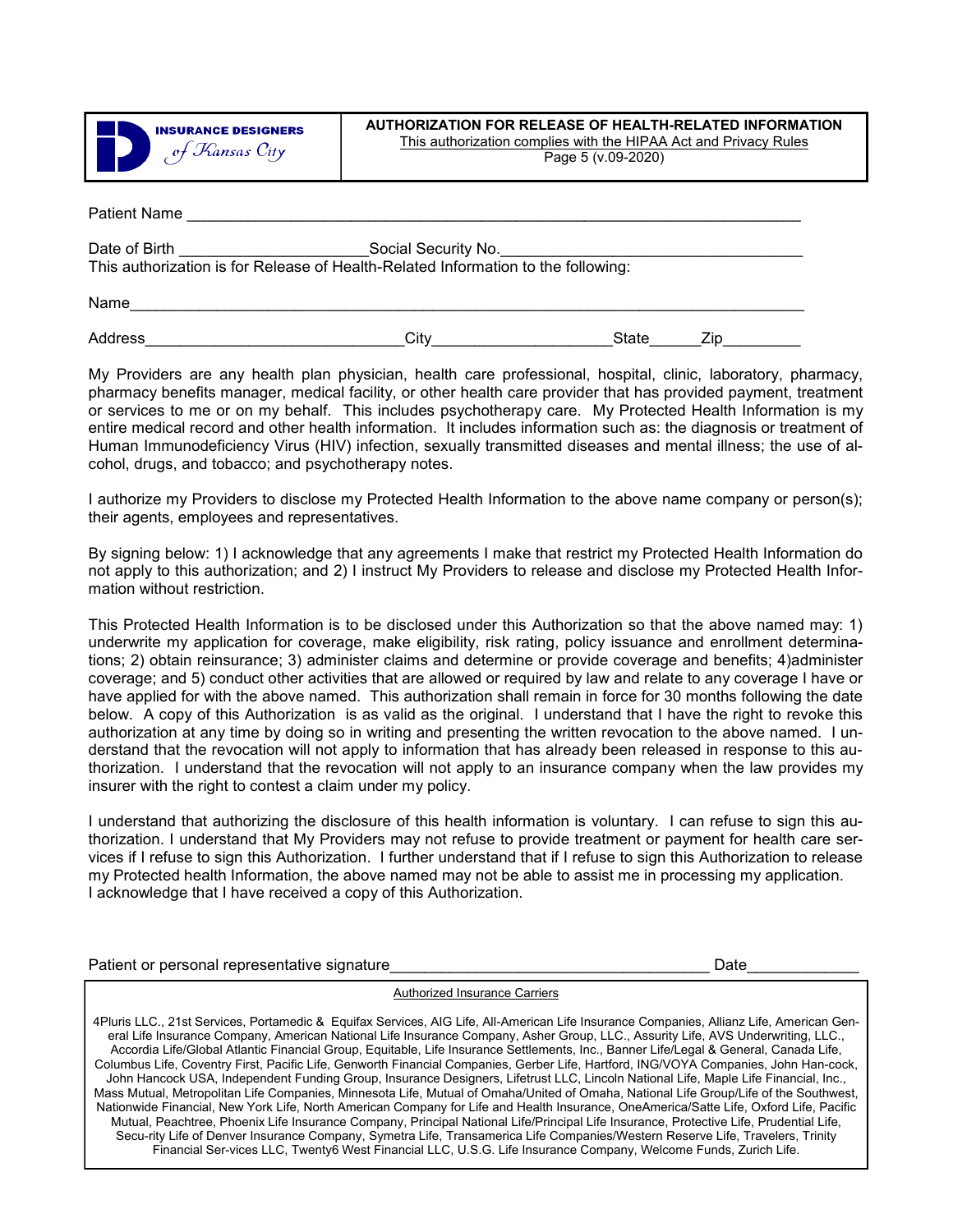

#### **AUTHORIZATION FOR RELEASE OF HEALTH-RELATED INFORMATION**  This authorization complies with the HIPAA Act and Privacy Rules Page 5 (v.09-2020)

| Patient Name                                                                      |                     |
|-----------------------------------------------------------------------------------|---------------------|
| Date of Birth                                                                     | Social Security No. |
| This authorization is for Release of Health-Related Information to the following: |                     |

Address\_\_\_\_\_\_\_\_\_\_\_\_\_\_\_\_\_\_\_\_\_\_\_\_\_\_\_\_\_\_City\_\_\_\_\_\_\_\_\_\_\_\_\_\_\_\_\_\_\_\_\_State\_\_\_\_\_\_Zip\_\_\_\_\_\_\_\_\_

Name\_\_\_\_\_\_\_\_\_\_\_\_\_\_\_\_\_\_\_\_\_\_\_\_\_\_\_\_\_\_\_\_\_\_\_\_\_\_\_\_\_\_\_\_\_\_\_\_\_\_\_\_\_\_\_\_\_\_\_\_\_\_\_\_\_\_\_\_\_\_\_\_\_\_\_\_\_\_

My Providers are any health plan physician, health care professional, hospital, clinic, laboratory, pharmacy, pharmacy benefits manager, medical facility, or other health care provider that has provided payment, treatment or services to me or on my behalf. This includes psychotherapy care. My Protected Health Information is my entire medical record and other health information. It includes information such as: the diagnosis or treatment of Human Immunodeficiency Virus (HIV) infection, sexually transmitted diseases and mental illness; the use of alcohol, drugs, and tobacco; and psychotherapy notes.

I authorize my Providers to disclose my Protected Health Information to the above name company or person(s); their agents, employees and representatives.

By signing below: 1) I acknowledge that any agreements I make that restrict my Protected Health Information do not apply to this authorization; and 2) I instruct My Providers to release and disclose my Protected Health Information without restriction.

This Protected Health Information is to be disclosed under this Authorization so that the above named may: 1) underwrite my application for coverage, make eligibility, risk rating, policy issuance and enrollment determinations; 2) obtain reinsurance; 3) administer claims and determine or provide coverage and benefits; 4)administer coverage; and 5) conduct other activities that are allowed or required by law and relate to any coverage I have or have applied for with the above named. This authorization shall remain in force for 30 months following the date below. A copy of this Authorization is as valid as the original. I understand that I have the right to revoke this authorization at any time by doing so in writing and presenting the written revocation to the above named. I understand that the revocation will not apply to information that has already been released in response to this authorization. I understand that the revocation will not apply to an insurance company when the law provides my insurer with the right to contest a claim under my policy.

I understand that authorizing the disclosure of this health information is voluntary. I can refuse to sign this authorization. I understand that My Providers may not refuse to provide treatment or payment for health care services if I refuse to sign this Authorization. I further understand that if I refuse to sign this Authorization to release my Protected health Information, the above named may not be able to assist me in processing my application. I acknowledge that I have received a copy of this Authorization.

Patient or personal representative signature example of the state of the state of Date

Authorized Insurance Carriers

4Pluris LLC., 21st Services, Portamedic & Equifax Services, AIG Life, All-American Life Insurance Companies, Allianz Life, American General Life Insurance Company, American National Life Insurance Company, Asher Group, LLC., Assurity Life, AVS Underwriting, LLC., Accordia Life/Global Atlantic Financial Group, Equitable, Life Insurance Settlements, Inc., Banner Life/Legal & General, Canada Life, Columbus Life, Coventry First, Pacific Life, Genworth Financial Companies, Gerber Life, Hartford, ING/VOYA Companies, John Han-cock, John Hancock USA, Independent Funding Group, Insurance Designers, Lifetrust LLC, Lincoln National Life, Maple Life Financial, Inc., Mass Mutual, Metropolitan Life Companies, Minnesota Life, Mutual of Omaha/United of Omaha, National Life Group/Life of the Southwest, Nationwide Financial, New York Life, North American Company for Life and Health Insurance, OneAmerica/Satte Life, Oxford Life, Pacific Mutual, Peachtree, Phoenix Life Insurance Company, Principal National Life/Principal Life Insurance, Protective Life, Prudential Life, Secu-rity Life of Denver Insurance Company, Symetra Life, Transamerica Life Companies/Western Reserve Life, Travelers, Trinity Financial Ser-vices LLC, Twenty6 West Financial LLC, U.S.G. Life Insurance Company, Welcome Funds, Zurich Life.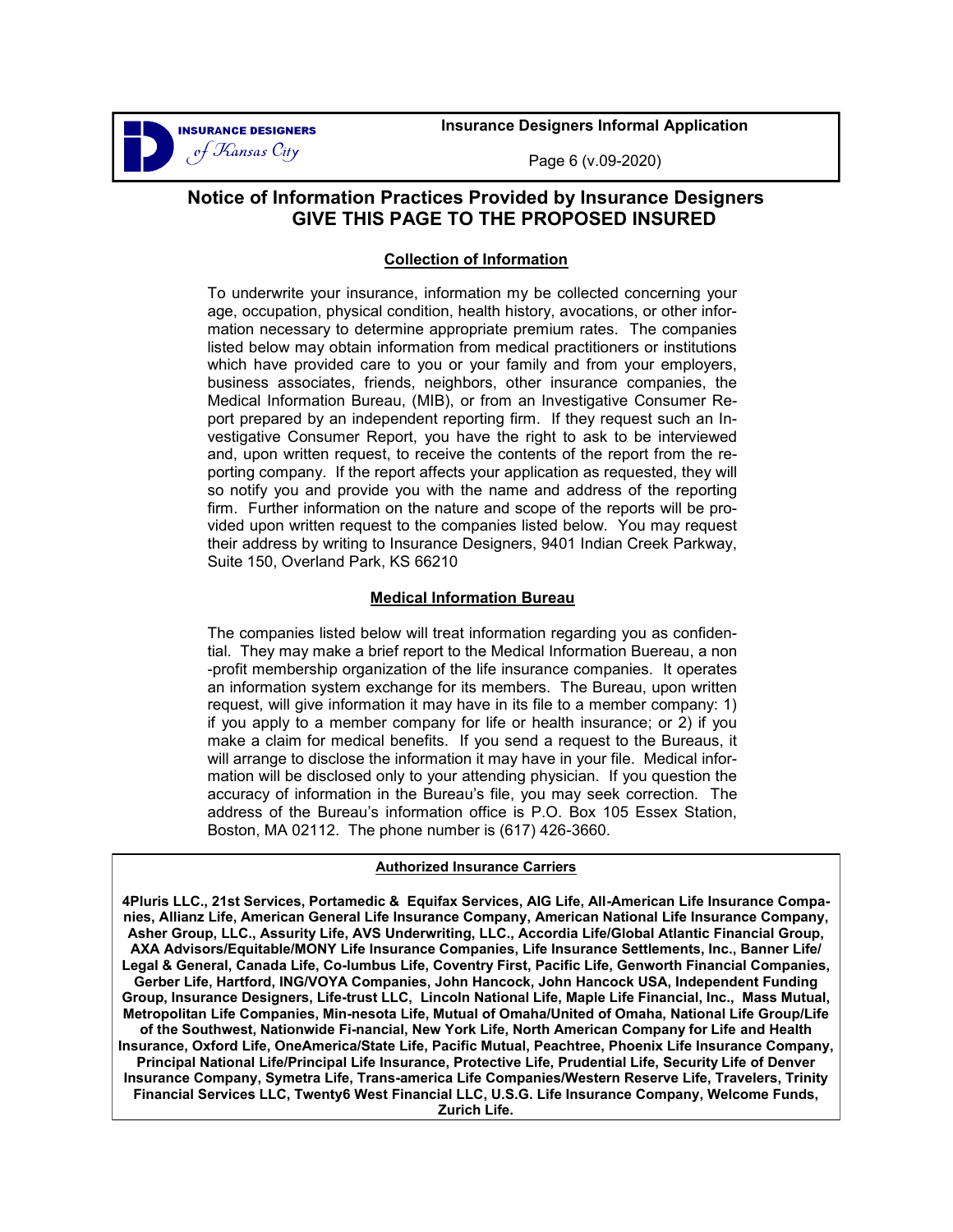

**Insurance Designers Informal Application** 

Page 6 (v.09-2020)

# **Notice of Information Practices Provided by Insurance Designers GIVE THIS PAGE TO THE PROPOSED INSURED**

### **Collection of Information**

To underwrite your insurance, information my be collected concerning your age, occupation, physical condition, health history, avocations, or other information necessary to determine appropriate premium rates. The companies listed below may obtain information from medical practitioners or institutions which have provided care to you or your family and from your employers, business associates, friends, neighbors, other insurance companies, the Medical Information Bureau, (MIB), or from an Investigative Consumer Report prepared by an independent reporting firm. If they request such an Investigative Consumer Report, you have the right to ask to be interviewed and, upon written request, to receive the contents of the report from the reporting company. If the report affects your application as requested, they will so notify you and provide you with the name and address of the reporting firm. Further information on the nature and scope of the reports will be provided upon written request to the companies listed below. You may request their address by writing to Insurance Designers, 9401 Indian Creek Parkway, Suite 150, Overland Park, KS 66210

## **Medical Information Bureau**

The companies listed below will treat information regarding you as confidential. They may make a brief report to the Medical Information Buereau, a non -profit membership organization of the life insurance companies. It operates an information system exchange for its members. The Bureau, upon written request, will give information it may have in its file to a member company: 1) if you apply to a member company for life or health insurance; or 2) if you make a claim for medical benefits. If you send a request to the Bureaus, it will arrange to disclose the information it may have in your file. Medical information will be disclosed only to your attending physician. If you question the accuracy of information in the Bureau's file, you may seek correction. The address of the Bureau's information office is P.O. Box 105 Essex Station, Boston, MA 02112. The phone number is (617) 426-3660.

### **Authorized Insurance Carriers**

**4Pluris LLC., 21st Services, Portamedic & Equifax Services, AIG Life, All-American Life Insurance Companies, Allianz Life, American General Life Insurance Company, American National Life Insurance Company, Asher Group, LLC., Assurity Life, AVS Underwriting, LLC., Accordia Life/Global Atlantic Financial Group, AXA Advisors/Equitable/MONY Life Insurance Companies, Life Insurance Settlements, Inc., Banner Life/ Legal & General, Canada Life, Co-lumbus Life, Coventry First, Pacific Life, Genworth Financial Companies, Gerber Life, Hartford, ING/VOYA Companies, John Hancock, John Hancock USA, Independent Funding Group, Insurance Designers, Life-trust LLC, Lincoln National Life, Maple Life Financial, Inc., Mass Mutual, Metropolitan Life Companies, Min-nesota Life, Mutual of Omaha/United of Omaha, National Life Group/Life of the Southwest, Nationwide Fi-nancial, New York Life, North American Company for Life and Health Insurance, Oxford Life, OneAmerica/State Life, Pacific Mutual, Peachtree, Phoenix Life Insurance Company, Principal National Life/Principal Life Insurance, Protective Life, Prudential Life, Security Life of Denver Insurance Company, Symetra Life, Trans-america Life Companies/Western Reserve Life, Travelers, Trinity Financial Services LLC, Twenty6 West Financial LLC, U.S.G. Life Insurance Company, Welcome Funds, Zurich Life.**